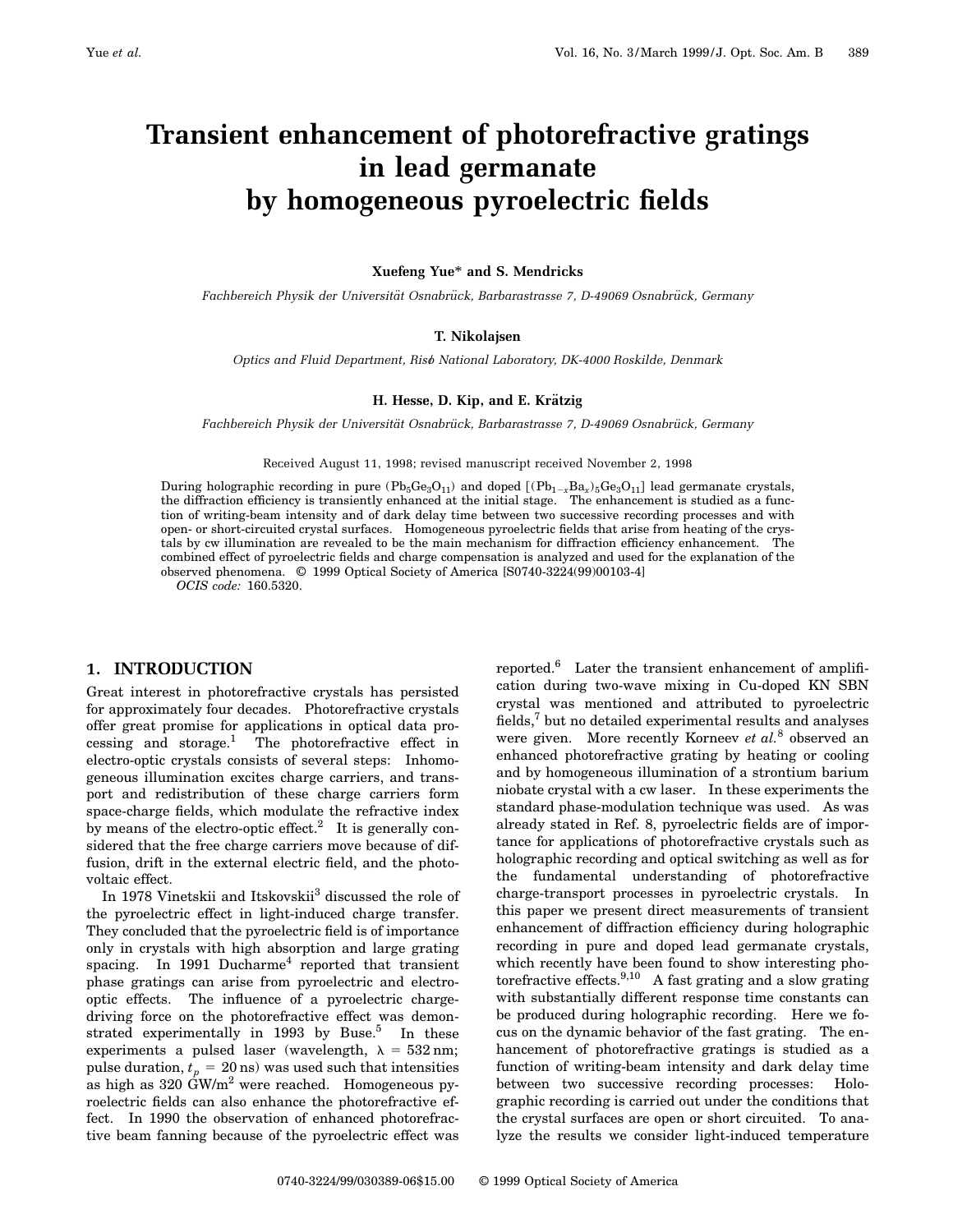# **Transient enhancement of photorefractive gratings in lead germanate by homogeneous pyroelectric fields**

## **Xuefeng Yue**\* **and S. Mendricks**

*Fachbereich Physik der Universita¨t Osnabru¨ ck, Barbarastrasse 7, D-49069 Osnabru¨ ck, Germany*

## **T. Nikolajsen**

*Optics and Fluid Department, Riso*" *National Laboratory, DK-4000 Roskilde, Denmark*

## **H. Hesse, D. Kip, and E. Krätzig**

*Fachbereich Physik der Universita¨t Osnabru¨ ck, Barbarastrasse 7, D-49069 Osnabru¨ ck, Germany*

Received August 11, 1998; revised manuscript received November 2, 1998

During holographic recording in pure  $(Pb_5Ge_3O_{11})$  and doped  $[(Pb_{1-x}Ba_x)_5Ge_3O_{11}]$  lead germanate crystals, the diffraction efficiency is transiently enhanced at the initial stage. The enhancement is studied as a function of writing-beam intensity and of dark delay time between two successive recording processes and with open- or short-circuited crystal surfaces. Homogeneous pyroelectric fields that arise from heating of the crystals by cw illumination are revealed to be the main mechanism for diffraction efficiency enhancement. The combined effect of pyroelectric fields and charge compensation is analyzed and used for the explanation of the observed phenomena. © 1999 Optical Society of America [S0740-3224(99)00103-4]

*OCIS code:* 160.5320.

### **1. INTRODUCTION**

Great interest in photorefractive crystals has persisted for approximately four decades. Photorefractive crystals offer great promise for applications in optical data processing and storage.<sup>1</sup> The photorefractive effect in electro-optic crystals consists of several steps: Inhomogeneous illumination excites charge carriers, and transport and redistribution of these charge carriers form space-charge fields, which modulate the refractive index by means of the electro-optic effect.<sup>2</sup> It is generally considered that the free charge carriers move because of diffusion, drift in the external electric field, and the photovoltaic effect.

In 1978 Vinetskii and Itskovskii<sup>3</sup> discussed the role of the pyroelectric effect in light-induced charge transfer. They concluded that the pyroelectric field is of importance only in crystals with high absorption and large grating spacing. In 1991 Ducharme<sup>4</sup> reported that transient phase gratings can arise from pyroelectric and electrooptic effects. The influence of a pyroelectric chargedriving force on the photorefractive effect was demonstrated experimentally in  $1993$  by Buse.<sup>5</sup> In these experiments a pulsed laser (wavelength,  $\lambda = 532$  nm; pulse duration,  $t_p = 20$  ns) was used such that intensities as high as  $320 \text{ GW/m}^2$  were reached. Homogeneous pyroelectric fields can also enhance the photorefractive effect. In 1990 the observation of enhanced photorefractive beam fanning because of the pyroelectric effect was

reported.<sup>6</sup> Later the transient enhancement of amplification during two-wave mixing in Cu-doped KN SBN crystal was mentioned and attributed to pyroelectric fields, $\bar{y}$  but no detailed experimental results and analyses were given. More recently Korneev *et al.*<sup>8</sup> observed an enhanced photorefractive grating by heating or cooling and by homogeneous illumination of a strontium barium niobate crystal with a cw laser. In these experiments the standard phase-modulation technique was used. As was already stated in Ref. 8, pyroelectric fields are of importance for applications of photorefractive crystals such as holographic recording and optical switching as well as for the fundamental understanding of photorefractive charge-transport processes in pyroelectric crystals. In this paper we present direct measurements of transient enhancement of diffraction efficiency during holographic recording in pure and doped lead germanate crystals, which recently have been found to show interesting photorefractive effects.<sup>9,10</sup> A fast grating and a slow grating with substantially different response time constants can be produced during holographic recording. Here we focus on the dynamic behavior of the fast grating. The enhancement of photorefractive gratings is studied as a function of writing-beam intensity and dark delay time between two successive recording processes: Holographic recording is carried out under the conditions that the crystal surfaces are open or short circuited. To analyze the results we consider light-induced temperature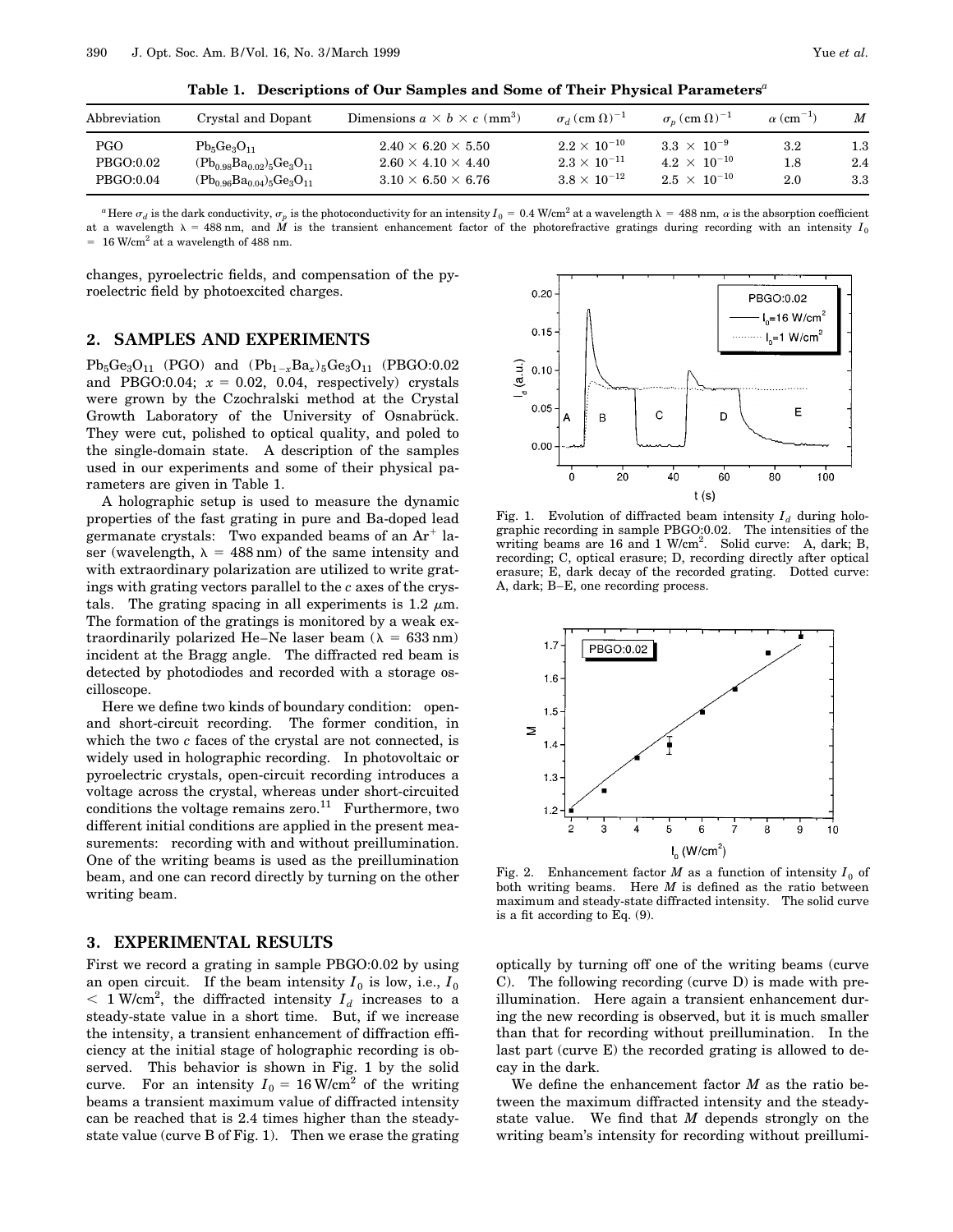| Abbreviation | Crystal and Dopant                 | Dimensions $a \times b \times c$ (mm <sup>3</sup> ) | $\sigma_d$ (cm $\Omega$ ) <sup>-1</sup> | $\sigma_n$ (cm $\Omega$ ) <sup>-1</sup> | $\alpha$ (cm <sup>-1</sup> ) | M       |
|--------------|------------------------------------|-----------------------------------------------------|-----------------------------------------|-----------------------------------------|------------------------------|---------|
| PGO.         | $Pb_5Ge_3O_{11}$                   | $2.40 \times 6.20 \times 5.50$                      | $2.2 \times 10^{-10}$                   | $3.3 \times 10^{-9}$                    | $3.2\,$                      | $1.3\,$ |
| PBGO:0.02    | $(Pb_{0.98}Ba_{0.02})_5Ge_3O_{11}$ | $2.60 \times 4.10 \times 4.40$                      | $2.3 \times 10^{-11}$                   | $4.2 \times 10^{-10}$                   | $1.8\,$                      | 2.4     |
| PBGO:0.04    | $(Pb_{0.96}Ba_{0.04})_5Ge_3O_{11}$ | $3.10 \times 6.50 \times 6.76$                      | $3.8 \times 10^{-12}$                   | $2.5 \times 10^{-10}$                   | $2.0\,$                      | 3.3     |

**Table 1. Descriptions of Our Samples and Some of Their Physical Parameters***<sup>a</sup>*

<sup>*a*</sup> Here  $\sigma_d$  is the dark conductivity,  $\sigma_p$  is the photoconductivity for an intensity  $I_0 = 0.4$  W/cm<sup>2</sup> at a wavelength  $\lambda = 488$  nm,  $\alpha$  is the absorption coefficient at a wavelength  $\lambda = 488$  nm, and *M* is the transient enhancement factor of the photorefractive gratings during recording with an intensity *I*<sub>0</sub>  $= 16$  W/cm<sup>2</sup> at a wavelength of 488 nm.

changes, pyroelectric fields, and compensation of the pyroelectric field by photoexcited charges.

# **2. SAMPLES AND EXPERIMENTS**

 $Pb_5Ge_3O_{11}$  (PGO) and  $(Pb_{1-x}Ba_x)_{5}Ge_3O_{11}$  (PBGO:0.02 and PBGO:0.04;  $x = 0.02$ , 0.04, respectively) crystals were grown by the Czochralski method at the Crystal Growth Laboratory of the University of Osnabruck. They were cut, polished to optical quality, and poled to the single-domain state. A description of the samples used in our experiments and some of their physical parameters are given in Table 1.

A holographic setup is used to measure the dynamic properties of the fast grating in pure and Ba-doped lead germanate crystals: Two expanded beams of an  $Ar^+$  laser (wavelength,  $\lambda = 488$  nm) of the same intensity and with extraordinary polarization are utilized to write gratings with grating vectors parallel to the *c* axes of the crystals. The grating spacing in all experiments is 1.2  $\mu$ m. The formation of the gratings is monitored by a weak extraordinarily polarized He–Ne laser beam ( $\lambda = 633$  nm) incident at the Bragg angle. The diffracted red beam is detected by photodiodes and recorded with a storage oscilloscope.

Here we define two kinds of boundary condition: openand short-circuit recording. The former condition, in which the two *c* faces of the crystal are not connected, is widely used in holographic recording. In photovoltaic or pyroelectric crystals, open-circuit recording introduces a voltage across the crystal, whereas under short-circuited conditions the voltage remains zero.<sup>11</sup> Furthermore, two different initial conditions are applied in the present measurements: recording with and without preillumination. One of the writing beams is used as the preillumination beam, and one can record directly by turning on the other writing beam.

# **3. EXPERIMENTAL RESULTS**

First we record a grating in sample PBGO:0.02 by using an open circuit. If the beam intensity  $I_0$  is low, i.e.,  $I_0$  $<$  1 W/cm<sup>2</sup>, the diffracted intensity  $I_d$  increases to a steady-state value in a short time. But, if we increase the intensity, a transient enhancement of diffraction efficiency at the initial stage of holographic recording is observed. This behavior is shown in Fig. 1 by the solid curve. For an intensity  $I_0 = 16$  W/cm<sup>2</sup> of the writing beams a transient maximum value of diffracted intensity can be reached that is 2.4 times higher than the steadystate value (curve B of Fig. 1). Then we erase the grating



Fig. 1. Evolution of diffracted beam intensity  $I_d$  during holographic recording in sample PBGO:0.02. The intensities of the writing beams are 16 and 1 W/cm<sup>2</sup>. Solid curve: A, dark; B, recording; C, optical erasure; D, recording directly after optical erasure; E, dark decay of the recorded grating. Dotted curve: A, dark; B–E, one recording process.



Fig. 2. Enhancement factor *M* as a function of intensity  $I_0$  of both writing beams. Here *M* is defined as the ratio between maximum and steady-state diffracted intensity. The solid curve is a fit according to Eq. (9).

optically by turning off one of the writing beams (curve C). The following recording (curve D) is made with preillumination. Here again a transient enhancement during the new recording is observed, but it is much smaller than that for recording without preillumination. In the last part (curve E) the recorded grating is allowed to decay in the dark.

We define the enhancement factor *M* as the ratio between the maximum diffracted intensity and the steadystate value. We find that *M* depends strongly on the writing beam's intensity for recording without preillumi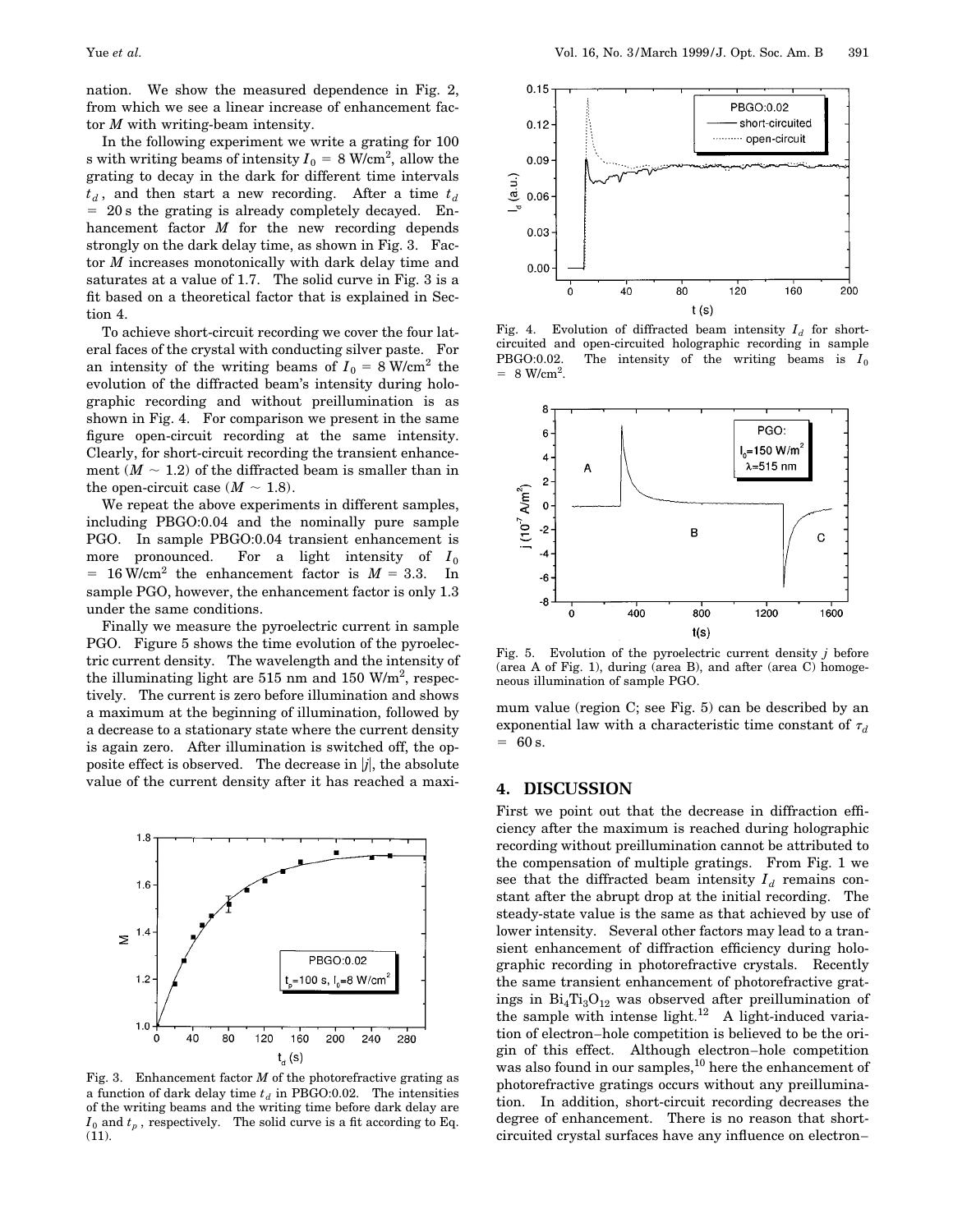nation. We show the measured dependence in Fig. 2, from which we see a linear increase of enhancement factor *M* with writing-beam intensity.

In the following experiment we write a grating for 100  ${\rm s}$  with writing beams of intensity  $I_0$  = 8 W/cm<sup>2</sup>, allow the grating to decay in the dark for different time intervals  $t_d$ , and then start a new recording. After a time  $t_d$  $= 20$  s the grating is already completely decayed. Enhancement factor *M* for the new recording depends strongly on the dark delay time, as shown in Fig. 3. Factor *M* increases monotonically with dark delay time and saturates at a value of 1.7. The solid curve in Fig. 3 is a fit based on a theoretical factor that is explained in Section 4.

To achieve short-circuit recording we cover the four lateral faces of the crystal with conducting silver paste. For an intensity of the writing beams of  $I_0 = 8$  W/cm<sup>2</sup> the evolution of the diffracted beam's intensity during holographic recording and without preillumination is as shown in Fig. 4. For comparison we present in the same figure open-circuit recording at the same intensity. Clearly, for short-circuit recording the transient enhancement  $(M \sim 1.2)$  of the diffracted beam is smaller than in the open-circuit case  $(M \sim 1.8)$ .

We repeat the above experiments in different samples, including PBGO:0.04 and the nominally pure sample PGO. In sample PBGO:0.04 transient enhancement is more pronounced. For a light intensity of  $I_0$  $= 16$  W/cm<sup>2</sup> the enhancement factor is  $M = 3.3$ . In sample PGO, however, the enhancement factor is only 1.3 under the same conditions.

Finally we measure the pyroelectric current in sample PGO. Figure 5 shows the time evolution of the pyroelectric current density. The wavelength and the intensity of the illuminating light are 515 nm and 150  $W/m^2$ , respectively. The current is zero before illumination and shows a maximum at the beginning of illumination, followed by a decrease to a stationary state where the current density is again zero. After illumination is switched off, the opposite effect is observed. The decrease in  $|j|$ , the absolute value of the current density after it has reached a maxi-



Fig. 3. Enhancement factor *M* of the photorefractive grating as a function of dark delay time  $t_d$  in PBGO:0.02. The intensities of the writing beams and the writing time before dark delay are  $I_0$  and  $t_p$ , respectively. The solid curve is a fit according to Eq. (11).



Fig. 4. Evolution of diffracted beam intensity  $I_d$  for shortcircuited and open-circuited holographic recording in sample PBGO:0.02. The intensity of the writing beams is  $I_0$  $= 8 \text{ W/cm}^2$ .



Fig. 5. Evolution of the pyroelectric current density *j* before (area A of Fig. 1), during (area B), and after (area C) homogeneous illumination of sample PGO.

mum value (region C; see Fig. 5) can be described by an exponential law with a characteristic time constant of  $\tau_d$  $= 60 s.$ 

# **4. DISCUSSION**

First we point out that the decrease in diffraction efficiency after the maximum is reached during holographic recording without preillumination cannot be attributed to the compensation of multiple gratings. From Fig. 1 we see that the diffracted beam intensity  $I_d$  remains constant after the abrupt drop at the initial recording. The steady-state value is the same as that achieved by use of lower intensity. Several other factors may lead to a transient enhancement of diffraction efficiency during holographic recording in photorefractive crystals. Recently the same transient enhancement of photorefractive gratings in  $Bi_4Ti_3O_{12}$  was observed after preillumination of the sample with intense light.<sup>12</sup> A light-induced variation of electron–hole competition is believed to be the origin of this effect. Although electron–hole competition was also found in our samples,<sup>10</sup> here the enhancement of photorefractive gratings occurs without any preillumination. In addition, short-circuit recording decreases the degree of enhancement. There is no reason that shortcircuited crystal surfaces have any influence on electron–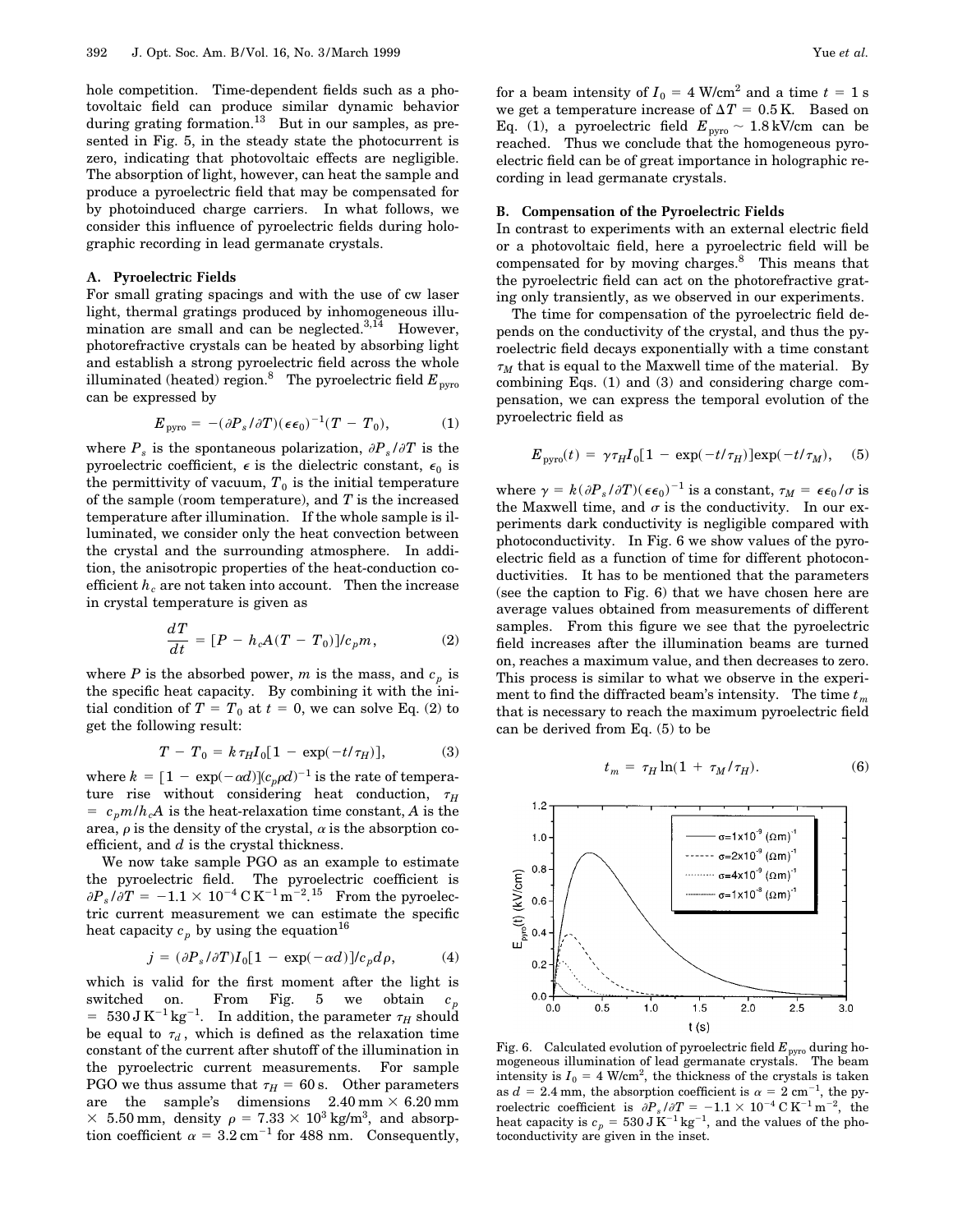hole competition. Time-dependent fields such as a photovoltaic field can produce similar dynamic behavior during grating formation.<sup>13</sup> But in our samples, as presented in Fig. 5, in the steady state the photocurrent is zero, indicating that photovoltaic effects are negligible. The absorption of light, however, can heat the sample and produce a pyroelectric field that may be compensated for by photoinduced charge carriers. In what follows, we consider this influence of pyroelectric fields during holographic recording in lead germanate crystals.

#### **A. Pyroelectric Fields**

For small grating spacings and with the use of cw laser light, thermal gratings produced by inhomogeneous illumination are small and can be neglected.<sup>3,14</sup> However, photorefractive crystals can be heated by absorbing light and establish a strong pyroelectric field across the whole illuminated (heated) region.<sup>8</sup> The pyroelectric field  $E_{\text{avro}}$ can be expressed by

$$
E_{\text{pyro}} = -(\partial P_s / \partial T)(\epsilon \epsilon_0)^{-1} (T - T_0), \tag{1}
$$

where  $P_s$  is the spontaneous polarization,  $\partial P_s / \partial T$  is the pyroelectric coefficient,  $\epsilon$  is the dielectric constant,  $\epsilon_0$  is the permittivity of vacuum,  $T_0$  is the initial temperature of the sample (room temperature), and *T* is the increased temperature after illumination. If the whole sample is illuminated, we consider only the heat convection between the crystal and the surrounding atmosphere. In addition, the anisotropic properties of the heat-conduction coefficient  $h_c$  are not taken into account. Then the increase in crystal temperature is given as

$$
\frac{dT}{dt} = [P - h_c A(T - T_0)]/c_p m, \qquad (2)
$$

where *P* is the absorbed power, *m* is the mass, and  $c_p$  is the specific heat capacity. By combining it with the initial condition of  $T = T_0$  at  $t = 0$ , we can solve Eq. (2) to get the following result:

$$
T - T_0 = k \tau_H I_0 [1 - \exp(-t/\tau_H)], \tag{3}
$$

where  $k = [1 - \exp(-\alpha d)] (c_p \rho d)^{-1}$  is the rate of temperature rise without considering heat conduction,  $\tau_H$  $= c_p m / h_c A$  is the heat-relaxation time constant, *A* is the area,  $\rho$  is the density of the crystal,  $\alpha$  is the absorption coefficient, and *d* is the crystal thickness.

We now take sample PGO as an example to estimate the pyroelectric field. The pyroelectric coefficient is  $\partial P_s/\partial T = -1.1 \times 10^{-4} \, \text{C K}^{-1} \text{m}^{-2}$ .<sup>15</sup> From the pyroelectric current measurement we can estimate the specific heat capacity  $c_p$  by using the equation<sup>16</sup>

$$
j = (\partial P_s / \partial T) I_0 [1 - \exp(-\alpha d)] / c_p d\rho, \tag{4}
$$

which is valid for the first moment after the light is switched on. From Fig. 5 we obtain  $= 530 \text{ J K}^{-1} \text{kg}^{-1}$ . In addition, the parameter  $\tau_H$  should be equal to  $\tau_d$ , which is defined as the relaxation time constant of the current after shutoff of the illumination in the pyroelectric current measurements. For sample PGO we thus assume that  $\tau_H = 60$  s. Other parameters are the sample's dimensions  $2.40 \text{ mm} \times 6.20 \text{ mm}$  $\times$  5.50 mm, density  $\rho = 7.33 \times 10^3$  kg/m<sup>3</sup>, and absorption coefficient  $\alpha = 3.2 \text{ cm}^{-1}$  for 488 nm. Consequently,

for a beam intensity of  $I_0 = 4$  W/cm<sup>2</sup> and a time  $t = 1$  s we get a temperature increase of  $\Delta T = 0.5$  K. Based on Eq. (1), a pyroelectric field  $E_{\text{pyro}} \sim 1.8 \text{ kV/cm}$  can be reached. Thus we conclude that the homogeneous pyroelectric field can be of great importance in holographic recording in lead germanate crystals.

#### **B. Compensation of the Pyroelectric Fields**

In contrast to experiments with an external electric field or a photovoltaic field, here a pyroelectric field will be compensated for by moving charges.<sup>8</sup> This means that the pyroelectric field can act on the photorefractive grating only transiently, as we observed in our experiments.

The time for compensation of the pyroelectric field depends on the conductivity of the crystal, and thus the pyroelectric field decays exponentially with a time constant  $\tau_M$  that is equal to the Maxwell time of the material. By combining Eqs. (1) and (3) and considering charge compensation, we can express the temporal evolution of the pyroelectric field as

$$
E_{\text{pyro}}(t) = \gamma \tau_H I_0 [1 - \exp(-t/\tau_H)] \exp(-t/\tau_M), \quad (5)
$$

where  $\gamma = k(\partial P_s/\partial T)(\epsilon \epsilon_0)^{-1}$  is a constant,  $\tau_M = \epsilon \epsilon_0/\sigma$  is the Maxwell time, and  $\sigma$  is the conductivity. In our experiments dark conductivity is negligible compared with photoconductivity. In Fig. 6 we show values of the pyroelectric field as a function of time for different photoconductivities. It has to be mentioned that the parameters (see the caption to Fig. 6) that we have chosen here are average values obtained from measurements of different samples. From this figure we see that the pyroelectric field increases after the illumination beams are turned on, reaches a maximum value, and then decreases to zero. This process is similar to what we observe in the experiment to find the diffracted beam's intensity. The time  $t_m$ that is necessary to reach the maximum pyroelectric field can be derived from Eq. (5) to be

$$
t_m = \tau_H \ln(1 + \tau_M/\tau_H). \tag{6}
$$



Fig. 6. Calculated evolution of pyroelectric field  $E_{\text{pyro}}$  during homogeneous illumination of lead germanate crystals. The beam intensity is  $I_0 = 4$  W/cm<sup>2</sup>, the thickness of the crystals is taken as  $d = 2.4$  mm, the absorption coefficient is  $\alpha = 2$  cm<sup>-1</sup>, the pyroelectric coefficient is  $\partial P_s / \partial T = -1.1 \times 10^{-4} \text{ C K}^{-1} \text{ m}^{-2}$ , the heat capacity is  $c_p = 530 \,\text{J K}^{-1}\,\text{kg}^{-1}$ , and the values of the photoconductivity are given in the inset.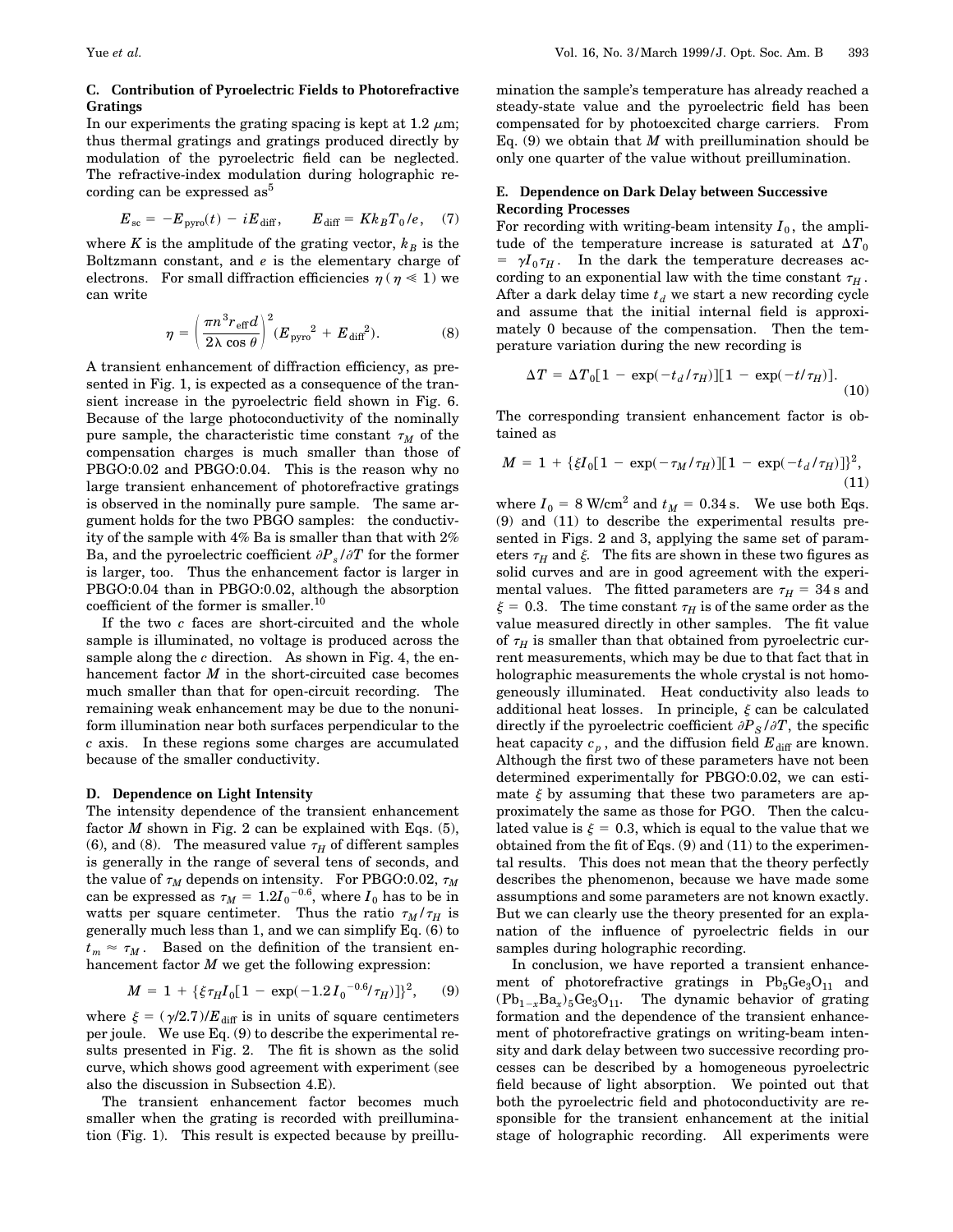# **C. Contribution of Pyroelectric Fields to Photorefractive Gratings**

In our experiments the grating spacing is kept at 1.2  $\mu$ m; thus thermal gratings and gratings produced directly by modulation of the pyroelectric field can be neglected. The refractive-index modulation during holographic recording can be expressed as<sup>5</sup>

$$
E_{\rm sc} = -E_{\rm pyro}(t) - iE_{\rm diff}, \qquad E_{\rm diff} = Kk_BT_0/e, \quad (7)
$$

where *K* is the amplitude of the grating vector,  $k_B$  is the Boltzmann constant, and *e* is the elementary charge of electrons. For small diffraction efficiencies  $\eta$  ( $\eta \ll 1$ ) we can write

$$
\eta = \left(\frac{\pi n^3 r_{\text{eff}} d}{2\lambda \cos \theta}\right)^2 (E_{\text{pyro}}^2 + E_{\text{diff}}^2). \tag{8}
$$

A transient enhancement of diffraction efficiency, as presented in Fig. 1, is expected as a consequence of the transient increase in the pyroelectric field shown in Fig. 6. Because of the large photoconductivity of the nominally pure sample, the characteristic time constant  $\tau_M$  of the compensation charges is much smaller than those of PBGO:0.02 and PBGO:0.04. This is the reason why no large transient enhancement of photorefractive gratings is observed in the nominally pure sample. The same argument holds for the two PBGO samples: the conductivity of the sample with 4% Ba is smaller than that with 2% Ba, and the pyroelectric coefficient  $\partial P_s / \partial T$  for the former is larger, too. Thus the enhancement factor is larger in PBGO:0.04 than in PBGO:0.02, although the absorption coefficient of the former is smaller.10

If the two *c* faces are short-circuited and the whole sample is illuminated, no voltage is produced across the sample along the *c* direction. As shown in Fig. 4, the enhancement factor *M* in the short-circuited case becomes much smaller than that for open-circuit recording. The remaining weak enhancement may be due to the nonuniform illumination near both surfaces perpendicular to the *c* axis. In these regions some charges are accumulated because of the smaller conductivity.

# **D. Dependence on Light Intensity**

The intensity dependence of the transient enhancement factor  $M$  shown in Fig. 2 can be explained with Eqs.  $(5)$ , (6), and (8). The measured value  $\tau_H$  of different samples is generally in the range of several tens of seconds, and the value of  $\tau_M$  depends on intensity. For PBGO:0.02,  $\tau_M$ can be expressed as  $\tau_M = 1.2 {I_0}^{-0.6}$ , where  $I_0$  has to be in watts per square centimeter. Thus the ratio  $\tau_M / \tau_H$  is generally much less than 1, and we can simplify Eq. (6) to  $t_m \approx \tau_M$ . Based on the definition of the transient enhancement factor *M* we get the following expression:

$$
M = 1 + {\xi \tau_H I_0 [1 - \exp(-1.2 I_0^{-0.6} / \tau_H)]}^2, \quad (9)
$$

where  $\xi = (\gamma/2.7)/E_{\text{diff}}$  is in units of square centimeters per joule. We use Eq. (9) to describe the experimental results presented in Fig. 2. The fit is shown as the solid curve, which shows good agreement with experiment (see also the discussion in Subsection 4.E).

The transient enhancement factor becomes much smaller when the grating is recorded with preillumination (Fig. 1). This result is expected because by preillumination the sample's temperature has already reached a steady-state value and the pyroelectric field has been compensated for by photoexcited charge carriers. From Eq.  $(9)$  we obtain that *M* with preillumination should be only one quarter of the value without preillumination.

# **E. Dependence on Dark Delay between Successive Recording Processes**

For recording with writing-beam intensity  $I_0$ , the amplitude of the temperature increase is saturated at  $\Delta T_0$  $= \gamma I_0 \tau_H$ . In the dark the temperature decreases according to an exponential law with the time constant  $\tau_H$ . After a dark delay time  $t_d$  we start a new recording cycle and assume that the initial internal field is approximately 0 because of the compensation. Then the temperature variation during the new recording is

$$
\Delta T = \Delta T_0 [1 - \exp(-t_d/\tau_H)][1 - \exp(-t/\tau_H)]. \tag{10}
$$

The corresponding transient enhancement factor is obtained as

$$
M = 1 + \{\xi I_0[1 - \exp(-\tau_M/\tau_H)][1 - \exp(-t_d/\tau_H)]\}^2,
$$
\n(11)

where  $I_0 = 8$  W/cm<sup>2</sup> and  $t_M = 0.34$  s. We use both Eqs. (9) and (11) to describe the experimental results presented in Figs. 2 and 3, applying the same set of parameters  $\tau_H$  and  $\xi$ . The fits are shown in these two figures as solid curves and are in good agreement with the experimental values. The fitted parameters are  $\tau_H = 34$  s and  $\xi = 0.3$ . The time constant  $\tau_H$  is of the same order as the value measured directly in other samples. The fit value of  $\tau_H$  is smaller than that obtained from pyroelectric current measurements, which may be due to that fact that in holographic measurements the whole crystal is not homogeneously illuminated. Heat conductivity also leads to additional heat losses. In principle,  $\xi$  can be calculated directly if the pyroelectric coefficient  $\partial P_S / \partial T$ , the specific heat capacity  $c_p$ , and the diffusion field  $E_{\text{diff}}$  are known. Although the first two of these parameters have not been determined experimentally for PBGO:0.02, we can estimate  $\xi$  by assuming that these two parameters are approximately the same as those for PGO. Then the calculated value is  $\xi = 0.3$ , which is equal to the value that we obtained from the fit of Eqs. (9) and (11) to the experimental results. This does not mean that the theory perfectly describes the phenomenon, because we have made some assumptions and some parameters are not known exactly. But we can clearly use the theory presented for an explanation of the influence of pyroelectric fields in our samples during holographic recording.

In conclusion, we have reported a transient enhancement of photorefractive gratings in  $Pb_5Ge_3O_{11}$  and  $(Pb_{1-x}Ba_x)_{5}Ge_3O_{11}$ . The dynamic behavior of grating formation and the dependence of the transient enhancement of photorefractive gratings on writing-beam intensity and dark delay between two successive recording processes can be described by a homogeneous pyroelectric field because of light absorption. We pointed out that both the pyroelectric field and photoconductivity are responsible for the transient enhancement at the initial stage of holographic recording. All experiments were